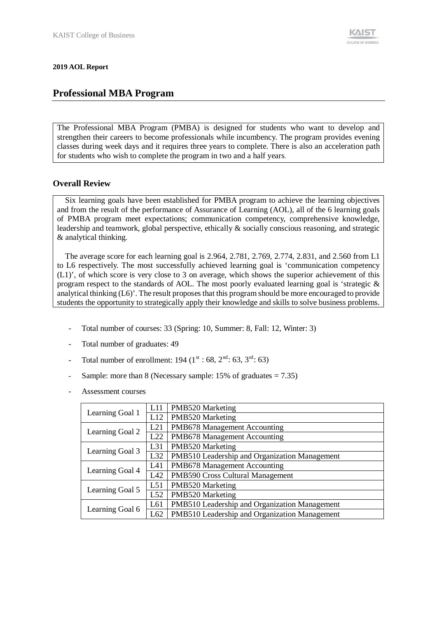#### **2019 AOL Report**

## **Professional MBA Program**

The Professional MBA Program (PMBA) is designed for students who want to develop and strengthen their careers to become professionals while incumbency. The program provides evening classes during week days and it requires three years to complete. There is also an acceleration path for students who wish to complete the program in two and a half years.

### **Overall Review**

Six learning goals have been established for PMBA program to achieve the learning objectives and from the result of the performance of Assurance of Learning (AOL), all of the 6 learning goals of PMBA program meet expectations; communication competency, comprehensive knowledge, leadership and teamwork, global perspective, ethically & socially conscious reasoning, and strategic & analytical thinking.

The average score for each learning goal is 2.964, 2.781, 2.769, 2.774, 2.831, and 2.560 from L1 to L6 respectively. The most successfully achieved learning goal is 'communication competency (L1)', of which score is very close to 3 on average, which shows the superior achievement of this program respect to the standards of AOL. The most poorly evaluated learning goal is 'strategic  $\&$ analytical thinking (L6)'. The result proposes that this program should be more encouraged to provide students the opportunity to strategically apply their knowledge and skills to solve business problems.

- Total number of courses: 33 (Spring: 10, Summer: 8, Fall: 12, Winter: 3)
- Total number of graduates: 49
- Total number of enrollment: 194 ( $1^{\text{st}}$  : 68,  $2^{\text{nd}}$  : 63,  $3^{\text{rd}}$  : 63)
- Sample: more than 8 (Necessary sample: 15% of graduates = 7.35)
- Assessment courses

|                 | L11 | PMB520 Marketing                              |
|-----------------|-----|-----------------------------------------------|
| Learning Goal 1 | L12 | PMB520 Marketing                              |
| Learning Goal 2 | L21 | PMB678 Management Accounting                  |
|                 | L22 | PMB678 Management Accounting                  |
|                 | L31 | PMB520 Marketing                              |
| Learning Goal 3 | L32 | PMB510 Leadership and Organization Management |
|                 | L41 | PMB678 Management Accounting                  |
| Learning Goal 4 | L42 | PMB590 Cross Cultural Management              |
|                 | L51 | PMB520 Marketing                              |
| Learning Goal 5 | L52 | PMB520 Marketing                              |
|                 | L61 | PMB510 Leadership and Organization Management |
| Learning Goal 6 | L62 | PMB510 Leadership and Organization Management |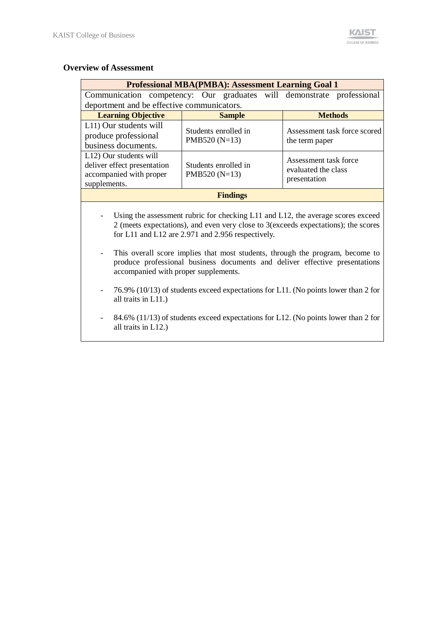### **Overview of Assessment**

| <b>Professional MBA(PMBA): Assessment Learning Goal 1</b>                                                                                                                                                                                                                                                                                                                                                                          |                                                                                    |                                                              |  |  |  |  |
|------------------------------------------------------------------------------------------------------------------------------------------------------------------------------------------------------------------------------------------------------------------------------------------------------------------------------------------------------------------------------------------------------------------------------------|------------------------------------------------------------------------------------|--------------------------------------------------------------|--|--|--|--|
|                                                                                                                                                                                                                                                                                                                                                                                                                                    | Communication competency: Our graduates will demonstrate professional              |                                                              |  |  |  |  |
| deportment and be effective communicators.                                                                                                                                                                                                                                                                                                                                                                                         |                                                                                    |                                                              |  |  |  |  |
| <b>Learning Objective</b>                                                                                                                                                                                                                                                                                                                                                                                                          | <b>Sample</b>                                                                      | <b>Methods</b>                                               |  |  |  |  |
| L11) Our students will<br>produce professional<br>business documents.                                                                                                                                                                                                                                                                                                                                                              | Students enrolled in<br>PMB520 (N=13)                                              | Assessment task force scored<br>the term paper               |  |  |  |  |
| L12) Our students will<br>deliver effect presentation<br>accompanied with proper<br>supplements.                                                                                                                                                                                                                                                                                                                                   | Students enrolled in<br>PMB520 $(N=13)$                                            | Assessment task force<br>evaluated the class<br>presentation |  |  |  |  |
|                                                                                                                                                                                                                                                                                                                                                                                                                                    | <b>Findings</b>                                                                    |                                                              |  |  |  |  |
| Using the assessment rubric for checking L11 and L12, the average scores exceed<br>2 (meets expectations), and even very close to 3(exceeds expectations); the scores<br>for L11 and L12 are 2.971 and 2.956 respectively.<br>This overall score implies that most students, through the program, become to<br>produce professional business documents and deliver effective presentations<br>accompanied with proper supplements. |                                                                                    |                                                              |  |  |  |  |
| all traits in L11.)                                                                                                                                                                                                                                                                                                                                                                                                                | 76.9% (10/13) of students exceed expectations for L11. (No points lower than 2 for |                                                              |  |  |  |  |
| all traits in $L12$ .)                                                                                                                                                                                                                                                                                                                                                                                                             | 84.6% (11/13) of students exceed expectations for L12. (No points lower than 2 for |                                                              |  |  |  |  |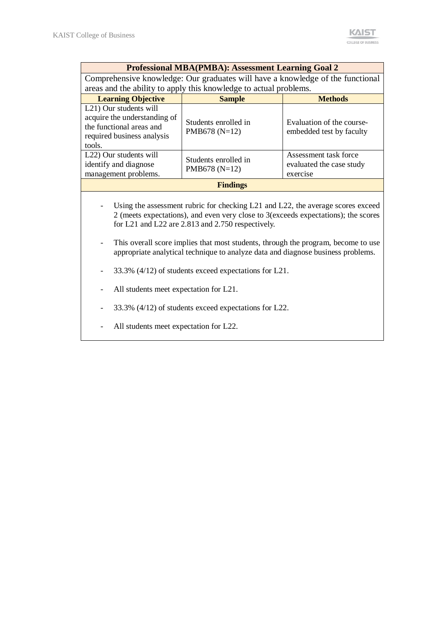|                                                                                                                                                                                                                                                                                                                                                                                                                                                                                                                                                                 | <b>Professional MBA(PMBA): Assessment Learning Goal 2</b>         |                                                               |  |  |  |  |
|-----------------------------------------------------------------------------------------------------------------------------------------------------------------------------------------------------------------------------------------------------------------------------------------------------------------------------------------------------------------------------------------------------------------------------------------------------------------------------------------------------------------------------------------------------------------|-------------------------------------------------------------------|---------------------------------------------------------------|--|--|--|--|
| Comprehensive knowledge: Our graduates will have a knowledge of the functional                                                                                                                                                                                                                                                                                                                                                                                                                                                                                  |                                                                   |                                                               |  |  |  |  |
|                                                                                                                                                                                                                                                                                                                                                                                                                                                                                                                                                                 | areas and the ability to apply this knowledge to actual problems. |                                                               |  |  |  |  |
| <b>Learning Objective</b>                                                                                                                                                                                                                                                                                                                                                                                                                                                                                                                                       | <b>Sample</b>                                                     | <b>Methods</b>                                                |  |  |  |  |
| L21) Our students will<br>acquire the understanding of<br>the functional areas and<br>required business analysis<br>tools.                                                                                                                                                                                                                                                                                                                                                                                                                                      | Students enrolled in<br>PMB678 (N=12)                             | Evaluation of the course-<br>embedded test by faculty         |  |  |  |  |
| L22) Our students will<br>identify and diagnose<br>management problems.                                                                                                                                                                                                                                                                                                                                                                                                                                                                                         | Students enrolled in<br>PMB678 (N=12)                             | Assessment task force<br>evaluated the case study<br>exercise |  |  |  |  |
|                                                                                                                                                                                                                                                                                                                                                                                                                                                                                                                                                                 | <b>Findings</b>                                                   |                                                               |  |  |  |  |
| Using the assessment rubric for checking L21 and L22, the average scores exceed<br>2 (meets expectations), and even very close to 3(exceeds expectations); the scores<br>for L21 and L22 are 2.813 and 2.750 respectively.<br>This overall score implies that most students, through the program, become to use<br>appropriate analytical technique to analyze data and diagnose business problems.<br>33.3% (4/12) of students exceed expectations for L21.<br>All students meet expectation for L21.<br>33.3% (4/12) of students exceed expectations for L22. |                                                                   |                                                               |  |  |  |  |
|                                                                                                                                                                                                                                                                                                                                                                                                                                                                                                                                                                 | All students meet expectation for L22.                            |                                                               |  |  |  |  |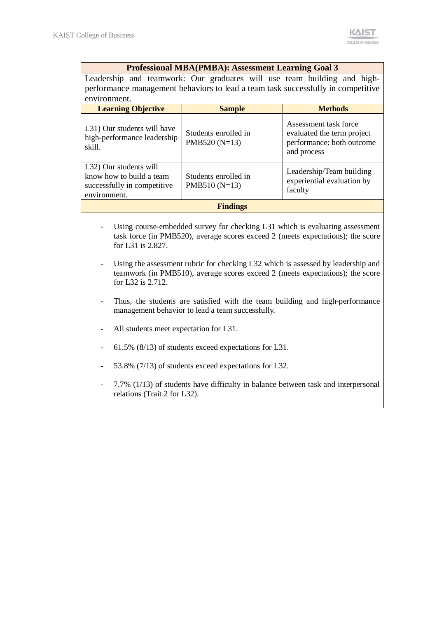### **Professional MBA(PMBA): Assessment Learning Goal 3**

Leadership and teamwork: Our graduates will use team building and highperformance management behaviors to lead a team task successfully in competitive environment.

| <b>Learning Objective</b>                                                                         | <b>Sample</b>                           | <b>Methods</b>                                                                                  |  |  |  |
|---------------------------------------------------------------------------------------------------|-----------------------------------------|-------------------------------------------------------------------------------------------------|--|--|--|
| L31) Our students will have<br>high-performance leadership<br>skill.                              | Students enrolled in<br>PMB520 $(N=13)$ | Assessment task force<br>evaluated the term project<br>performance: both outcome<br>and process |  |  |  |
| L32) Our students will<br>know how to build a team<br>successfully in competitive<br>environment. | Students enrolled in<br>$PMB510(N=13)$  | Leadership/Team building<br>experiential evaluation by<br>faculty                               |  |  |  |
| <b>Findings</b>                                                                                   |                                         |                                                                                                 |  |  |  |

- Using course-embedded survey for checking L31 which is evaluating assessment task force (in PMB520), average scores exceed 2 (meets expectations); the score for L31 is 2.827.
- Using the assessment rubric for checking L32 which is assessed by leadership and teamwork (in PMB510), average scores exceed 2 (meets expectations); the score for L32 is 2.712.
- Thus, the students are satisfied with the team building and high-performance management behavior to lead a team successfully.
- All students meet expectation for L31.
- 61.5% (8/13) of students exceed expectations for L31.
- 53.8% (7/13) of students exceed expectations for L32.
- 7.7% (1/13) of students have difficulty in balance between task and interpersonal relations (Trait 2 for L32).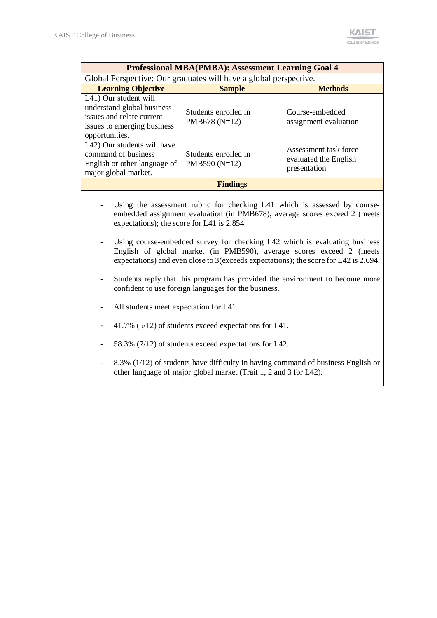| <b>Professional MBA(PMBA): Assessment Learning Goal 4</b>                                                                                                                                                                                                                                                                                                                                                                                                                                                                                                                                                                             |                                                                                                                                                       |                                                                |  |  |  |  |
|---------------------------------------------------------------------------------------------------------------------------------------------------------------------------------------------------------------------------------------------------------------------------------------------------------------------------------------------------------------------------------------------------------------------------------------------------------------------------------------------------------------------------------------------------------------------------------------------------------------------------------------|-------------------------------------------------------------------------------------------------------------------------------------------------------|----------------------------------------------------------------|--|--|--|--|
| Global Perspective: Our graduates will have a global perspective.                                                                                                                                                                                                                                                                                                                                                                                                                                                                                                                                                                     |                                                                                                                                                       |                                                                |  |  |  |  |
| <b>Learning Objective</b>                                                                                                                                                                                                                                                                                                                                                                                                                                                                                                                                                                                                             | <b>Sample</b>                                                                                                                                         | <b>Methods</b>                                                 |  |  |  |  |
| L41) Our student will<br>understand global business<br>issues and relate current<br>issues to emerging business<br>opportunities.                                                                                                                                                                                                                                                                                                                                                                                                                                                                                                     | Students enrolled in<br>PMB678 (N=12)                                                                                                                 | Course-embedded<br>assignment evaluation                       |  |  |  |  |
| L42) Our students will have<br>command of business<br>English or other language of<br>major global market.                                                                                                                                                                                                                                                                                                                                                                                                                                                                                                                            | Students enrolled in<br>PMB590 (N=12)                                                                                                                 | Assessment task force<br>evaluated the English<br>presentation |  |  |  |  |
|                                                                                                                                                                                                                                                                                                                                                                                                                                                                                                                                                                                                                                       | <b>Findings</b>                                                                                                                                       |                                                                |  |  |  |  |
| Using the assessment rubric for checking L41 which is assessed by course-<br>embedded assignment evaluation (in PMB678), average scores exceed 2 (meets<br>expectations); the score for L41 is 2.854.<br>Using course-embedded survey for checking L42 which is evaluating business<br>English of global market (in PMB590), average scores exceed 2 (meets<br>expectations) and even close to 3(exceeds expectations); the score for L42 is 2.694.<br>Students reply that this program has provided the environment to become more<br>confident to use foreign languages for the business.<br>All students meet expectation for L41. |                                                                                                                                                       |                                                                |  |  |  |  |
|                                                                                                                                                                                                                                                                                                                                                                                                                                                                                                                                                                                                                                       | 41.7% (5/12) of students exceed expectations for L41.<br>58.3% (7/12) of students exceed expectations for L42.                                        |                                                                |  |  |  |  |
|                                                                                                                                                                                                                                                                                                                                                                                                                                                                                                                                                                                                                                       | 8.3% (1/12) of students have difficulty in having command of business English or<br>other language of major global market (Trait 1, 2 and 3 for L42). |                                                                |  |  |  |  |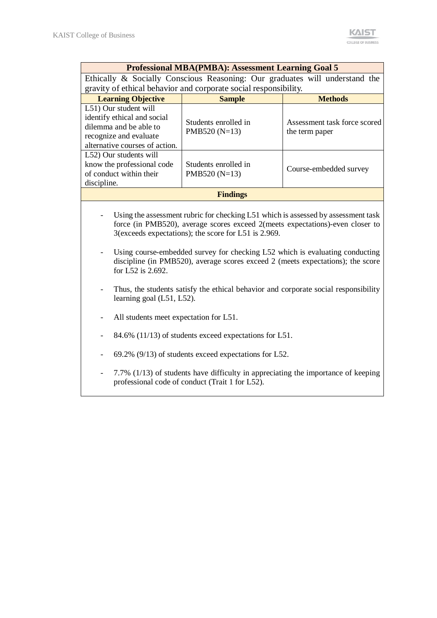| <b>Professional MBA(PMBA): Assessment Learning Goal 5</b>                                                                                                                                                                                                                                                                                                                                                                                                                                                                                                                                                                                  |                                                                                                                                                                                               |                                                |  |  |  |  |
|--------------------------------------------------------------------------------------------------------------------------------------------------------------------------------------------------------------------------------------------------------------------------------------------------------------------------------------------------------------------------------------------------------------------------------------------------------------------------------------------------------------------------------------------------------------------------------------------------------------------------------------------|-----------------------------------------------------------------------------------------------------------------------------------------------------------------------------------------------|------------------------------------------------|--|--|--|--|
|                                                                                                                                                                                                                                                                                                                                                                                                                                                                                                                                                                                                                                            | Ethically & Socially Conscious Reasoning: Our graduates will understand the                                                                                                                   |                                                |  |  |  |  |
|                                                                                                                                                                                                                                                                                                                                                                                                                                                                                                                                                                                                                                            | gravity of ethical behavior and corporate social responsibility.                                                                                                                              |                                                |  |  |  |  |
| <b>Learning Objective</b>                                                                                                                                                                                                                                                                                                                                                                                                                                                                                                                                                                                                                  | <b>Sample</b>                                                                                                                                                                                 | <b>Methods</b>                                 |  |  |  |  |
| L51) Our student will<br>identify ethical and social<br>dilemma and be able to<br>recognize and evaluate<br>alternative courses of action.                                                                                                                                                                                                                                                                                                                                                                                                                                                                                                 | Students enrolled in<br>PMB520 (N=13)                                                                                                                                                         | Assessment task force scored<br>the term paper |  |  |  |  |
| L52) Our students will<br>know the professional code<br>of conduct within their<br>discipline.                                                                                                                                                                                                                                                                                                                                                                                                                                                                                                                                             | Students enrolled in<br>PMB520 (N=13)                                                                                                                                                         | Course-embedded survey                         |  |  |  |  |
|                                                                                                                                                                                                                                                                                                                                                                                                                                                                                                                                                                                                                                            | <b>Findings</b>                                                                                                                                                                               |                                                |  |  |  |  |
| Using the assessment rubric for checking L51 which is assessed by assessment task<br>force (in PMB520), average scores exceed 2(meets expectations)-even closer to<br>3(exceeds expectations); the score for L51 is 2.969.<br>Using course-embedded survey for checking L52 which is evaluating conducting<br>discipline (in PMB520), average scores exceed 2 (meets expectations); the score<br>for L52 is 2.692.<br>Thus, the students satisfy the ethical behavior and corporate social responsibility<br>learning goal (L51, L52).<br>All students meet expectation for L51.<br>84.6% (11/13) of students exceed expectations for L51. |                                                                                                                                                                                               |                                                |  |  |  |  |
|                                                                                                                                                                                                                                                                                                                                                                                                                                                                                                                                                                                                                                            | 69.2% (9/13) of students exceed expectations for L52.<br>7.7% (1/13) of students have difficulty in appreciating the importance of keeping<br>professional code of conduct (Trait 1 for L52). |                                                |  |  |  |  |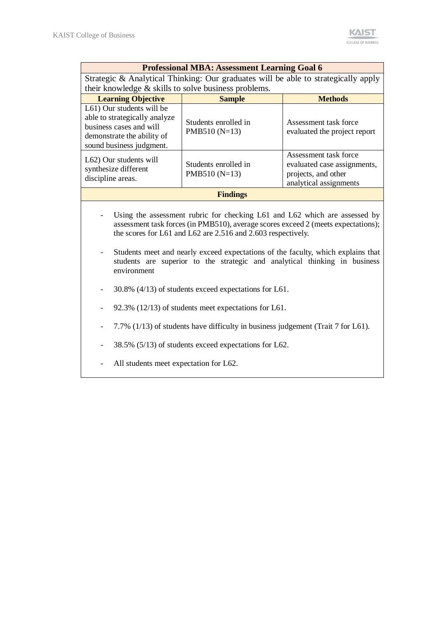| <b>Professional MBA: Assessment Learning Goal 6</b>                                                                                                                                                                                                                                                                                                                                                                                          |                                                                                  |                                                                                                       |  |  |  |  |  |
|----------------------------------------------------------------------------------------------------------------------------------------------------------------------------------------------------------------------------------------------------------------------------------------------------------------------------------------------------------------------------------------------------------------------------------------------|----------------------------------------------------------------------------------|-------------------------------------------------------------------------------------------------------|--|--|--|--|--|
| Strategic & Analytical Thinking: Our graduates will be able to strategically apply                                                                                                                                                                                                                                                                                                                                                           |                                                                                  |                                                                                                       |  |  |  |  |  |
| their knowledge & skills to solve business problems.                                                                                                                                                                                                                                                                                                                                                                                         |                                                                                  |                                                                                                       |  |  |  |  |  |
| <b>Learning Objective</b>                                                                                                                                                                                                                                                                                                                                                                                                                    | <b>Sample</b>                                                                    | <b>Methods</b>                                                                                        |  |  |  |  |  |
| L61) Our students will be<br>able to strategically analyze<br>business cases and will<br>demonstrate the ability of<br>sound business judgment.                                                                                                                                                                                                                                                                                              | Students enrolled in<br>PMB510 $(N=13)$                                          | Assessment task force<br>evaluated the project report                                                 |  |  |  |  |  |
| L62) Our students will<br>synthesize different<br>discipline areas.                                                                                                                                                                                                                                                                                                                                                                          | Students enrolled in<br>PMB510 $(N=13)$                                          | Assessment task force<br>evaluated case assignments,<br>projects, and other<br>analytical assignments |  |  |  |  |  |
| <b>Findings</b>                                                                                                                                                                                                                                                                                                                                                                                                                              |                                                                                  |                                                                                                       |  |  |  |  |  |
| Using the assessment rubric for checking L61 and L62 which are assessed by<br>assessment task forces (in PMB510), average scores exceed 2 (meets expectations);<br>the scores for L61 and L62 are 2.516 and 2.603 respectively.<br>Students meet and nearly exceed expectations of the faculty, which explains that<br>$\overline{\phantom{a}}$<br>students are superior to the strategic and analytical thinking in business<br>environment |                                                                                  |                                                                                                       |  |  |  |  |  |
|                                                                                                                                                                                                                                                                                                                                                                                                                                              | 30.8% (4/13) of students exceed expectations for L61.                            |                                                                                                       |  |  |  |  |  |
|                                                                                                                                                                                                                                                                                                                                                                                                                                              | $92.3\%$ (12/13) of students meet expectations for L61.                          |                                                                                                       |  |  |  |  |  |
|                                                                                                                                                                                                                                                                                                                                                                                                                                              | 7.7% (1/13) of students have difficulty in business judgement (Trait 7 for L61). |                                                                                                       |  |  |  |  |  |
|                                                                                                                                                                                                                                                                                                                                                                                                                                              | 38.5% (5/13) of students exceed expectations for L62.                            |                                                                                                       |  |  |  |  |  |
| All students meet expectation for L62.                                                                                                                                                                                                                                                                                                                                                                                                       |                                                                                  |                                                                                                       |  |  |  |  |  |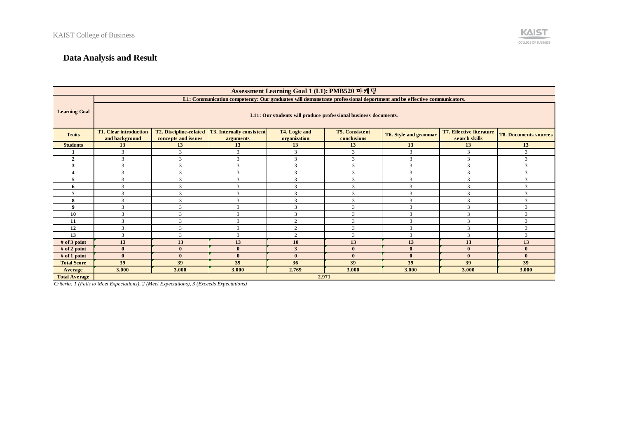# **Data Analysis and Result**

| Assessment Learning Goal 1 (L1): PMB520 마케팅 |                                                                                                                                                                                         |                                               |                                               |                               |                                      |                       |                                           |                              |
|---------------------------------------------|-----------------------------------------------------------------------------------------------------------------------------------------------------------------------------------------|-----------------------------------------------|-----------------------------------------------|-------------------------------|--------------------------------------|-----------------------|-------------------------------------------|------------------------------|
|                                             | L1: Communication competency: Our graduates will demonstrate professional deportment and be effective communicators.<br>L11: Our students will produce professional business documents. |                                               |                                               |                               |                                      |                       |                                           |                              |
| <b>Learning Goal</b>                        |                                                                                                                                                                                         |                                               |                                               |                               |                                      |                       |                                           |                              |
| <b>Traits</b>                               | <b>T1. Clear introduction</b><br>and background                                                                                                                                         | T2. Discipline-related<br>concepts and issues | <b>T3.</b> Internally consistent<br>arguments | T4. Logic and<br>organization | <b>T5. Consistent</b><br>conclusions | T6. Style and grammar | T7. Effective literature<br>search skills | <b>T8. Documents sources</b> |
| <b>Students</b>                             | 13                                                                                                                                                                                      | 13                                            | 13                                            | 13                            | 13                                   | 13                    | 13                                        | 13                           |
|                                             | 3                                                                                                                                                                                       | 3                                             | 3                                             | 3                             | 3                                    | 3                     | 3                                         | 3                            |
| $\overline{2}$                              | 3                                                                                                                                                                                       | 3                                             | 3                                             | 3                             | 3                                    | 3                     | 3                                         | 3                            |
| 3                                           | 3                                                                                                                                                                                       | 3                                             | 3                                             | 3                             | 3                                    | 3                     | 3                                         | 3                            |
|                                             | 3                                                                                                                                                                                       | 3                                             | 3                                             | 3                             | 3                                    | 3                     | 3                                         | 3                            |
|                                             | 3                                                                                                                                                                                       | 3                                             | $\mathbf{3}$                                  | 3                             | 3                                    | 3                     | $\overline{3}$                            | 3                            |
| 6                                           | 3                                                                                                                                                                                       | $\mathcal{R}$                                 | $\mathbf{3}$                                  | 3                             | 3                                    | $\mathcal{R}$         | $\mathcal{R}$                             | 3                            |
|                                             | 3                                                                                                                                                                                       | $\mathcal{R}$                                 | $\mathbf{3}$                                  | 3                             | 3                                    | $\mathcal{R}$         | 3                                         | 3                            |
| 8                                           | 3                                                                                                                                                                                       | $\mathcal{R}$                                 | 3                                             | 3                             | 3                                    | $\mathcal{R}$         | 3                                         | 3                            |
| $\mathbf Q$                                 | 3                                                                                                                                                                                       | $\mathcal{R}$                                 | $\mathbf{3}$                                  | 3                             | 3                                    | $\mathcal{R}$         | 3                                         | 3                            |
| 10                                          | $\mathbf{3}$                                                                                                                                                                            | $\mathcal{L}$                                 |                                               | 3                             | 3                                    |                       | $\mathbf{3}$                              | 3                            |
| 11                                          | 3                                                                                                                                                                                       | 3                                             | 3                                             | $\gamma$                      | 3                                    | 3                     | 3                                         | 3                            |
| 12                                          | 3                                                                                                                                                                                       | 3                                             | $\mathbf{3}$                                  | 2                             | 3                                    | $\mathcal{R}$         | 3                                         | 3                            |
| 13                                          | 3                                                                                                                                                                                       | 3                                             | 3                                             | $\mathbf{2}$                  | 3                                    | 3                     | 3                                         | 3                            |
| $#$ of 3 point                              | 13                                                                                                                                                                                      | 13                                            | 13                                            | 10                            | 13                                   | 13                    | 13                                        | 13                           |
| $#$ of 2 point                              | $\mathbf{0}$                                                                                                                                                                            | $\mathbf{0}$                                  | $\mathbf{0}$                                  | 3                             | $\mathbf{0}$                         | $\mathbf{0}$          | $\mathbf{0}$                              | $\bf{0}$                     |
| # of 1 point                                | $\mathbf{0}$                                                                                                                                                                            | $\mathbf{0}$                                  | $\mathbf{0}$                                  | $\mathbf{0}$                  | $\mathbf{0}$                         | $\mathbf{0}$          | $\Omega$                                  | $\mathbf{0}$                 |
| <b>Total Score</b>                          | 39                                                                                                                                                                                      | 39                                            | 39                                            | 36                            | 39                                   | 39                    | 39                                        | 39                           |
| Average                                     | 3.000                                                                                                                                                                                   | 3.000                                         | 3.000                                         | 2.769                         | 3.000                                | 3.000                 | 3.000                                     | 3.000                        |
| <b>Total Average</b>                        |                                                                                                                                                                                         |                                               |                                               | 2.971                         |                                      |                       |                                           |                              |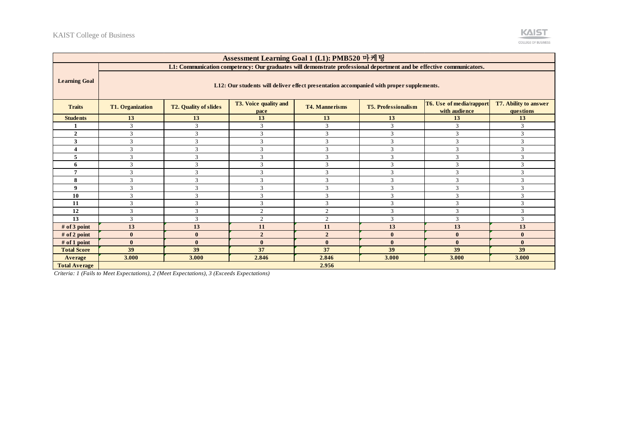

| Assessment Learning Goal 1 (L1): PMB520 마케팅 |                                                                                         |                                                                                                                                                                                                         |                                                                                                                      |                |          |              |              |  |  |  |
|---------------------------------------------|-----------------------------------------------------------------------------------------|---------------------------------------------------------------------------------------------------------------------------------------------------------------------------------------------------------|----------------------------------------------------------------------------------------------------------------------|----------------|----------|--------------|--------------|--|--|--|
|                                             |                                                                                         |                                                                                                                                                                                                         | L1: Communication competency: Our graduates will demonstrate professional deportment and be effective communicators. |                |          |              |              |  |  |  |
| <b>Learning Goal</b>                        | L12: Our students will deliver effect presentation accompanied with proper supplements. |                                                                                                                                                                                                         |                                                                                                                      |                |          |              |              |  |  |  |
| <b>Traits</b>                               | <b>T1. Organization</b>                                                                 | T3. Voice quality and<br>T6. Use of media/rapport<br>T7. Ability to answer<br><b>T5. Professionalism</b><br><b>T2. Quality of slides</b><br><b>T4. Mannerisms</b><br>with audience<br>questions<br>pace |                                                                                                                      |                |          |              |              |  |  |  |
| <b>Students</b>                             | 13                                                                                      | 13                                                                                                                                                                                                      | 13                                                                                                                   | 13             | 13       | 13           | 13           |  |  |  |
|                                             | 3                                                                                       | 3                                                                                                                                                                                                       | 3                                                                                                                    | 3              | 3        | 3            | 3            |  |  |  |
| $\overline{2}$                              | 3                                                                                       | $\mathcal{R}$                                                                                                                                                                                           | $\mathcal{R}$                                                                                                        | 3              | 3        | 3            | 3            |  |  |  |
| 3                                           | 3                                                                                       | 3                                                                                                                                                                                                       | $\mathcal{R}$                                                                                                        | 3              | 3        | 3            | 3            |  |  |  |
|                                             | $\mathcal{R}$                                                                           | 3                                                                                                                                                                                                       | $\mathcal{R}$                                                                                                        | 3              | 3        | 3            | 3            |  |  |  |
|                                             | 3                                                                                       | 3                                                                                                                                                                                                       |                                                                                                                      | $\mathcal{R}$  | 3        | 3            | 3            |  |  |  |
| 6                                           | $\mathbf{3}$                                                                            | 3                                                                                                                                                                                                       | $\mathcal{R}$                                                                                                        | 3              | 3        | 3            | 3            |  |  |  |
|                                             | 3                                                                                       | 3                                                                                                                                                                                                       | 3                                                                                                                    | 3              | 3        | 3            | 3            |  |  |  |
| 8                                           | 3                                                                                       | $\mathcal{R}$                                                                                                                                                                                           | $\mathcal{R}$                                                                                                        | 3              | 3        | 3            | 3            |  |  |  |
| 9                                           | 3                                                                                       | 3                                                                                                                                                                                                       | $\mathbf{3}$                                                                                                         | $\mathcal{R}$  | 3        | 3            | 3            |  |  |  |
| 10                                          | 3                                                                                       | 3                                                                                                                                                                                                       | $\mathcal{R}$                                                                                                        | 3              | 3        | 3            | 3            |  |  |  |
| 11                                          | $\mathcal{R}$                                                                           | 3                                                                                                                                                                                                       | $\mathcal{R}$                                                                                                        | 3              | 3        | 3            | 3            |  |  |  |
| 12                                          | 3                                                                                       | 3                                                                                                                                                                                                       | $\overline{2}$                                                                                                       | 2              | 3        | 3            | 3            |  |  |  |
| 13                                          | 3                                                                                       | 3                                                                                                                                                                                                       | $\overline{2}$                                                                                                       | $\overline{2}$ | 3        | 3            | 3            |  |  |  |
| $#$ of 3 point                              | 13                                                                                      | 13                                                                                                                                                                                                      | 11                                                                                                                   | 11             | 13       | 13           | 13           |  |  |  |
| $#$ of 2 point                              | $\bf{0}$                                                                                | $\mathbf{0}$                                                                                                                                                                                            | $\overline{2}$                                                                                                       | $\overline{2}$ | $\bf{0}$ | $\bf{0}$     | $\bf{0}$     |  |  |  |
| $#$ of 1 point                              | $\mathbf{0}$                                                                            | $\mathbf{0}$                                                                                                                                                                                            | $\mathbf{0}$                                                                                                         | $\mathbf{0}$   | $\bf{0}$ | $\mathbf{0}$ | $\mathbf{0}$ |  |  |  |
| <b>Total Score</b>                          | 39                                                                                      | 39                                                                                                                                                                                                      | 37                                                                                                                   | 37             | 39       | 39           | 39           |  |  |  |
| Average                                     | 3.000                                                                                   | 3.000                                                                                                                                                                                                   | 2.846                                                                                                                | 2.846          | 3.000    | 3.000        | 3.000        |  |  |  |
| <b>Total Average</b>                        |                                                                                         |                                                                                                                                                                                                         |                                                                                                                      | 2.956          |          |              |              |  |  |  |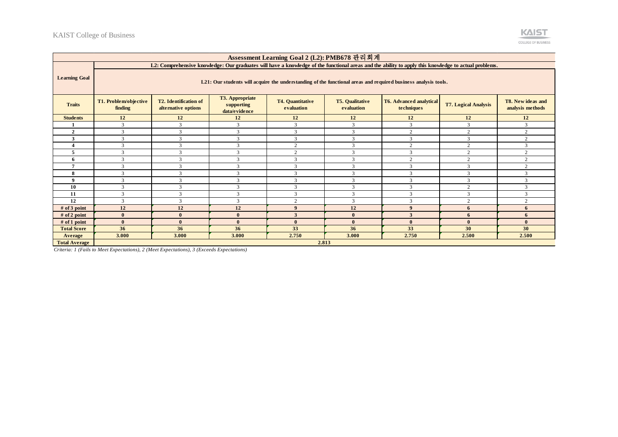

| Assessment Learning Goal 2 (L2): PMB678 관리회계 |                                                                                                                |                                                                                                                                                                                                                                                                                                                       |              |                  |               |                |                |                |  |
|----------------------------------------------|----------------------------------------------------------------------------------------------------------------|-----------------------------------------------------------------------------------------------------------------------------------------------------------------------------------------------------------------------------------------------------------------------------------------------------------------------|--------------|------------------|---------------|----------------|----------------|----------------|--|
|                                              |                                                                                                                | L2: Comprehensive knowledge: Our graduates will have a knowledge of the functional areas and the ability to apply this knowledge to actual problems.                                                                                                                                                                  |              |                  |               |                |                |                |  |
| <b>Learning Goal</b>                         | L21: Our students will acquire the understanding of the functional areas and required business analysis tools. |                                                                                                                                                                                                                                                                                                                       |              |                  |               |                |                |                |  |
| <b>Traits</b>                                | T1. Problem/objective<br>finding                                                                               | <b>T3. Appropriate</b><br>T8. New ideas and<br><b>T2.</b> Identification of<br><b>T4. Quantitative</b><br><b>T5. Qualitative</b><br><b>T6. Advanced analytical</b><br><b>T7. Logical Analysis</b><br>supporting<br>evaluation<br>alternative options<br>evaluation<br>techniques<br>analysis methods<br>data/evidence |              |                  |               |                |                |                |  |
| <b>Students</b>                              | 12                                                                                                             | 12                                                                                                                                                                                                                                                                                                                    | 12           | 12               | 12            | 12             | 12             | 12             |  |
|                                              | 3                                                                                                              | 3                                                                                                                                                                                                                                                                                                                     | 3            | 3                | 3             | 3              | 3              | 3              |  |
| $\overline{2}$                               | 3                                                                                                              | $\mathcal{R}$                                                                                                                                                                                                                                                                                                         | 3            | 3                | $\mathcal{R}$ | $\overline{2}$ | 2              | $\overline{2}$ |  |
| 3                                            | 3                                                                                                              | 3                                                                                                                                                                                                                                                                                                                     | 3            | 3                | 3             | 3              | 3              | $\overline{2}$ |  |
|                                              | 3                                                                                                              | 3                                                                                                                                                                                                                                                                                                                     | 3            | 2                | 3             | $\overline{c}$ | $\mathbf{2}$   | 3              |  |
| 5                                            | 3                                                                                                              | $\mathbf{3}$                                                                                                                                                                                                                                                                                                          | $\mathbf{3}$ | 2                | $\mathcal{R}$ | 3              | 2              | $\overline{2}$ |  |
| 6                                            | 3                                                                                                              | $\mathcal{R}$                                                                                                                                                                                                                                                                                                         | 3            | 3                | $\mathcal{R}$ | $\overline{2}$ | 2              | $\overline{2}$ |  |
|                                              | 3                                                                                                              | $\mathcal{R}$                                                                                                                                                                                                                                                                                                         | 3            | 3                | $\mathcal{R}$ | 3              | 3              | $\overline{2}$ |  |
| 8                                            | 3                                                                                                              | $\mathbf{3}$                                                                                                                                                                                                                                                                                                          | $\mathbf{3}$ | 3                | $\mathbf{3}$  | 3              | 3              | $\mathcal{R}$  |  |
| $\mathbf Q$                                  | 3                                                                                                              | $\mathcal{R}$                                                                                                                                                                                                                                                                                                         | 3            | 3                | 3             | 3              | 3              | 3              |  |
| 10                                           | 3                                                                                                              | 3                                                                                                                                                                                                                                                                                                                     | 3            | 3                | 3             | 3              | $\overline{c}$ | 3              |  |
| 11                                           | 3                                                                                                              | $\mathcal{R}$                                                                                                                                                                                                                                                                                                         | $\mathbf{3}$ | 3                | $\mathcal{R}$ | 3              | 3              | 3              |  |
| 12                                           | 3                                                                                                              | 3                                                                                                                                                                                                                                                                                                                     | 3            | 2                | 3             | 3              | $\overline{c}$ | $\gamma$       |  |
| $#$ of 3 point                               | 12                                                                                                             | 12                                                                                                                                                                                                                                                                                                                    | 12           | $\boldsymbol{9}$ | 12            | 9              | 6              | 6              |  |
| # of 2 point                                 | $\bf{0}$                                                                                                       | $\theta$                                                                                                                                                                                                                                                                                                              | $\mathbf{0}$ | 3                | $\mathbf{0}$  | 3              | 6              | 6              |  |
| # of 1 point                                 | $\theta$                                                                                                       | $\theta$                                                                                                                                                                                                                                                                                                              | $\mathbf{0}$ | $\mathbf{0}$     | $\mathbf{0}$  | $\mathbf{0}$   | $\mathbf{0}$   | $\theta$       |  |
| <b>Total Score</b>                           | 36                                                                                                             | 36                                                                                                                                                                                                                                                                                                                    | 36           | 33               | 36            | 33             | 30             | 30             |  |
| Average                                      | 3.000                                                                                                          | 3.000                                                                                                                                                                                                                                                                                                                 | 3.000        | 2.750            | 3.000         | 2.750          | 2.500          | 2.500          |  |
| <b>Total Average</b>                         |                                                                                                                |                                                                                                                                                                                                                                                                                                                       |              |                  | 2.813         |                |                |                |  |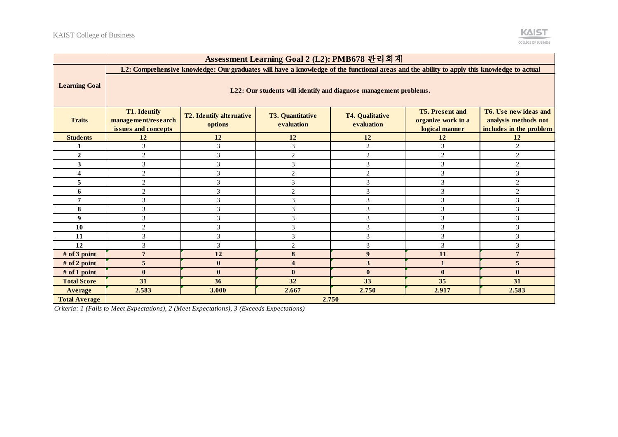| Assessment Learning Goal 2 (L2): PMB678 관리회계 |                                                                                                                                                                                                                                                                                                                                         |                             |                |                             |                |                |  |  |  |
|----------------------------------------------|-----------------------------------------------------------------------------------------------------------------------------------------------------------------------------------------------------------------------------------------------------------------------------------------------------------------------------------------|-----------------------------|----------------|-----------------------------|----------------|----------------|--|--|--|
|                                              | L2: Comprehensive knowledge: Our graduates will have a knowledge of the functional areas and the ability to apply this knowledge to actual                                                                                                                                                                                              |                             |                |                             |                |                |  |  |  |
| <b>Learning Goal</b>                         | L22: Our students will identify and diagnose management problems.                                                                                                                                                                                                                                                                       |                             |                |                             |                |                |  |  |  |
| <b>Traits</b>                                | <b>T1. Identify</b><br><b>T5. Present and</b><br>T6. Use new ideas and<br>T2. Identify alternative<br><b>T4. Qualitative</b><br><b>T3. Quantitative</b><br>organize work in a<br>analysis methods not<br>management/research<br>options<br>evaluation<br>evaluation<br>issues and concepts<br>includes in the problem<br>logical manner |                             |                |                             |                |                |  |  |  |
| <b>Students</b>                              | 12                                                                                                                                                                                                                                                                                                                                      | 12                          | 12             | 12                          | 12             | 12             |  |  |  |
|                                              | 3                                                                                                                                                                                                                                                                                                                                       | 3                           | 3              | 2                           | 3              | $\overline{2}$ |  |  |  |
| $\overline{2}$                               | $\overline{2}$                                                                                                                                                                                                                                                                                                                          | $\mathfrak{Z}$              | $\overline{c}$ | $\mathbf{2}$                | $\overline{2}$ | $\mathfrak{2}$ |  |  |  |
| 3                                            | 3                                                                                                                                                                                                                                                                                                                                       | 3                           | 3              | 3                           | 3              | $\overline{c}$ |  |  |  |
| 4                                            | $\overline{2}$                                                                                                                                                                                                                                                                                                                          | 3                           | $\overline{c}$ | $\mathbf{2}$                | 3              | 3              |  |  |  |
| 5                                            | $\mathfrak{2}$                                                                                                                                                                                                                                                                                                                          | $\mathfrak{Z}$              | 3              | $\mathfrak{Z}$              | 3              | $\mathfrak{2}$ |  |  |  |
| 6                                            | $\overline{2}$                                                                                                                                                                                                                                                                                                                          | 3                           | 2              | 3                           | 3              | $\mathfrak{2}$ |  |  |  |
| 7                                            | 3                                                                                                                                                                                                                                                                                                                                       | $\ensuremath{\mathfrak{Z}}$ | 3              | $\mathfrak{Z}$              | 3              | $\mathfrak{Z}$ |  |  |  |
| 8                                            | 3                                                                                                                                                                                                                                                                                                                                       | 3                           | 3              | 3                           | 3              | 3              |  |  |  |
| 9                                            | $\mathcal{R}$                                                                                                                                                                                                                                                                                                                           | $\mathfrak{Z}$              | 3              | 3                           | 3              | 3              |  |  |  |
| 10                                           | $\overline{2}$                                                                                                                                                                                                                                                                                                                          | $\mathfrak 3$               | 3              | $\ensuremath{\mathfrak{Z}}$ | 3              | 3              |  |  |  |
| 11                                           | 3                                                                                                                                                                                                                                                                                                                                       | 3                           | 3              | 3                           | 3              | 3              |  |  |  |
| 12                                           | 3                                                                                                                                                                                                                                                                                                                                       | $\mathfrak{Z}$              | $\overline{2}$ | 3                           | 3              | 3              |  |  |  |
| # of 3 point                                 | 7                                                                                                                                                                                                                                                                                                                                       | 12                          | 8              | $\boldsymbol{9}$            | 11             | $\overline{7}$ |  |  |  |
| # of 2 point                                 | 5                                                                                                                                                                                                                                                                                                                                       | $\bf{0}$                    | 4              | 3                           |                | 5              |  |  |  |
| # of 1 point                                 | $\mathbf{0}$                                                                                                                                                                                                                                                                                                                            | $\bf{0}$                    | $\bf{0}$       | $\bf{0}$                    | $\bf{0}$       | $\bf{0}$       |  |  |  |
| <b>Total Score</b>                           | 31                                                                                                                                                                                                                                                                                                                                      | 36                          | 32             | 33                          | 35             | 31             |  |  |  |
| Average                                      | 2.583                                                                                                                                                                                                                                                                                                                                   | 3.000                       | 2.667          | 2.750                       | 2.917          | 2.583          |  |  |  |
| <b>Total Average</b>                         |                                                                                                                                                                                                                                                                                                                                         |                             |                | 2.750                       |                |                |  |  |  |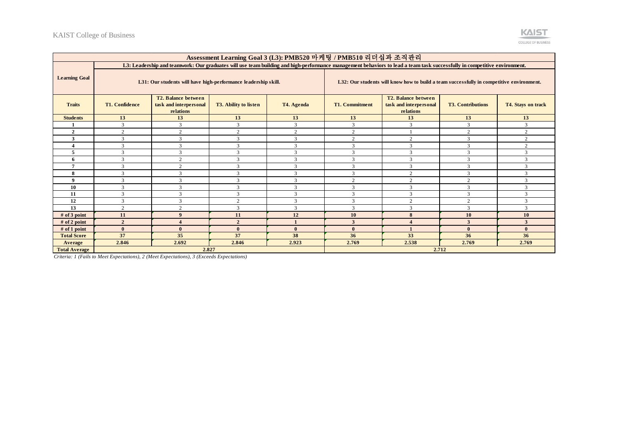

| Assessment Learning Goal 3 (L3): PMB520 마케팅 / PMB510 리더십과 조직관리 |                                                                                                                                                                                                                                               |                                                                |                |              |                                                                                          |                                                                                                                                                                          |                |                |  |
|----------------------------------------------------------------|-----------------------------------------------------------------------------------------------------------------------------------------------------------------------------------------------------------------------------------------------|----------------------------------------------------------------|----------------|--------------|------------------------------------------------------------------------------------------|--------------------------------------------------------------------------------------------------------------------------------------------------------------------------|----------------|----------------|--|
|                                                                |                                                                                                                                                                                                                                               |                                                                |                |              |                                                                                          | L3: Leadership and teamwork: Our graduates will use team building and high-performance management behaviors to lead a team task successfully in competitive environment. |                |                |  |
| <b>Learning Goal</b>                                           |                                                                                                                                                                                                                                               | L31: Our students will have high-performance leadership skill. |                |              | L32: Our students will know how to build a team successfully in competitive environment. |                                                                                                                                                                          |                |                |  |
| <b>Traits</b>                                                  | T2. Balance between<br>T2. Balance between<br><b>T1. Confidence</b><br>task and interpersonal<br>T3. Ability to listen<br><b>T1. Commitment</b><br>task and interpersonal<br><b>T3. Contributions</b><br>T4. Agenda<br>relations<br>relations |                                                                |                |              |                                                                                          | T4. Stays on track                                                                                                                                                       |                |                |  |
| <b>Students</b>                                                | 13                                                                                                                                                                                                                                            | 13                                                             | 13             | 13           | 13                                                                                       | 13                                                                                                                                                                       | 13             | 13             |  |
|                                                                | 3                                                                                                                                                                                                                                             | 3                                                              | $\mathcal{R}$  | 3            | 3                                                                                        | $\mathcal{R}$                                                                                                                                                            | 3              | 3              |  |
| $\overline{2}$                                                 | $\overline{c}$                                                                                                                                                                                                                                | $\overline{c}$                                                 | 2              | $\mathbf{2}$ | 2                                                                                        |                                                                                                                                                                          | $\overline{2}$ | $\overline{2}$ |  |
| 3                                                              | 3                                                                                                                                                                                                                                             | 3                                                              | 3              | 3            | 2                                                                                        | 2                                                                                                                                                                        | 3              | $\overline{2}$ |  |
|                                                                | 3                                                                                                                                                                                                                                             | $\mathcal{R}$                                                  | $\mathbf{3}$   | 3            | $\mathcal{R}$                                                                            | 3                                                                                                                                                                        | 3              | $\overline{2}$ |  |
| 5                                                              | 3                                                                                                                                                                                                                                             | $\mathcal{R}$                                                  | $\mathcal{R}$  | 3            | $\mathcal{R}$                                                                            | 3                                                                                                                                                                        | 3              | 3              |  |
| 6                                                              | 3                                                                                                                                                                                                                                             | $\mathcal{L}$                                                  | 3              | 3            | $\mathcal{L}$                                                                            | 3                                                                                                                                                                        | 3              | 3              |  |
|                                                                | 3                                                                                                                                                                                                                                             | $\overline{2}$                                                 | $\mathbf{3}$   | 3            | $\mathcal{R}$                                                                            | 3                                                                                                                                                                        | 3              | $\mathcal{R}$  |  |
| 8                                                              | 3                                                                                                                                                                                                                                             | 3                                                              | 3              | 3            | 3                                                                                        | 2                                                                                                                                                                        | 3              | 3              |  |
| $\boldsymbol{9}$                                               | 3                                                                                                                                                                                                                                             | 3                                                              | 3              | 3            | 2                                                                                        | 2                                                                                                                                                                        | $\overline{2}$ | $\overline{3}$ |  |
| 10                                                             | 3                                                                                                                                                                                                                                             | 3                                                              | $\mathcal{R}$  | 3            | $\mathcal{R}$                                                                            | $\mathcal{R}$                                                                                                                                                            | 3              | 3              |  |
| 11                                                             | 3                                                                                                                                                                                                                                             | $\mathcal{R}$                                                  | $\mathbf{3}$   | 3            | $\mathbf{z}$                                                                             | $\mathbf{3}$                                                                                                                                                             | 3              | 3              |  |
| 12                                                             | 3                                                                                                                                                                                                                                             | 3                                                              | $\sim$         | 3            | $\mathbf{3}$                                                                             | $\sim$                                                                                                                                                                   | $\mathcal{L}$  | $\overline{3}$ |  |
| 13                                                             | $\overline{c}$                                                                                                                                                                                                                                | $\overline{c}$                                                 | 3              | 3            | $\mathcal{R}$                                                                            | 3                                                                                                                                                                        | 3              | $\mathcal{R}$  |  |
| $#$ of 3 point                                                 | 11                                                                                                                                                                                                                                            | $\mathbf Q$                                                    | 11             | 12           | <b>10</b>                                                                                | 8                                                                                                                                                                        | <b>10</b>      | 10             |  |
| $#$ of 2 point                                                 | $\overline{2}$                                                                                                                                                                                                                                | $\boldsymbol{\Lambda}$                                         | $\overline{2}$ | $\mathbf{1}$ | 3                                                                                        |                                                                                                                                                                          | 3              | 3              |  |
| $#$ of 1 point                                                 | $\mathbf{0}$                                                                                                                                                                                                                                  | $\mathbf{0}$                                                   | $\Omega$       | $\mathbf{0}$ | $\mathbf{0}$                                                                             |                                                                                                                                                                          | $\mathbf{0}$   | $\mathbf{0}$   |  |
| <b>Total Score</b>                                             | 37                                                                                                                                                                                                                                            | 35                                                             | 37             | 38           | 36                                                                                       | 33                                                                                                                                                                       | 36             | 36             |  |
| Average                                                        | 2.846                                                                                                                                                                                                                                         | 2.692                                                          | 2.846          | 2.923        | 2.769                                                                                    | 2.538                                                                                                                                                                    | 2.769          | 2.769          |  |
| <b>Total Average</b>                                           |                                                                                                                                                                                                                                               | 2.827                                                          |                |              |                                                                                          |                                                                                                                                                                          | 2.712          |                |  |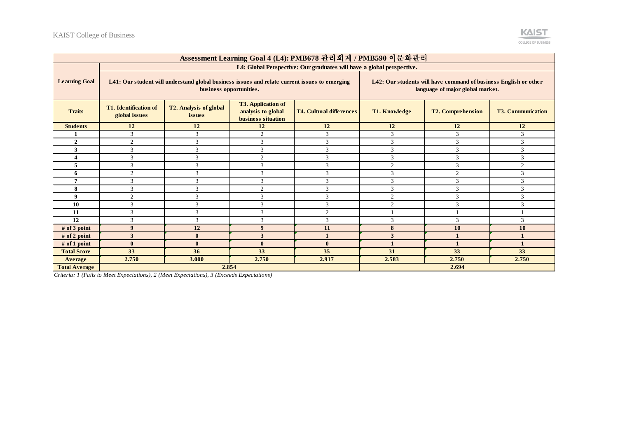

| Assessment Learning Goal 4 (L4): PMB678 관리회계 / PMB590 이문화관리 |                                                                                                                          |                                         |                                                                       |                                 |                                                                                                      |                          |                          |  |
|-------------------------------------------------------------|--------------------------------------------------------------------------------------------------------------------------|-----------------------------------------|-----------------------------------------------------------------------|---------------------------------|------------------------------------------------------------------------------------------------------|--------------------------|--------------------------|--|
|                                                             | L4: Global Perspective: Our graduates will have a global perspective.                                                    |                                         |                                                                       |                                 |                                                                                                      |                          |                          |  |
| <b>Learning Goal</b>                                        | L41: Our student will understand global business issues and relate current issues to emerging<br>business opportunities. |                                         |                                                                       |                                 | L42: Our students will have command of business English or other<br>language of major global market. |                          |                          |  |
| <b>Traits</b>                                               | <b>T1.</b> Identification of<br>global issues                                                                            | T2. Analysis of global<br><i>issues</i> | <b>T3. Application of</b><br>analysis to global<br>business situation | <b>T4. Cultural differences</b> | <b>T1. Knowledge</b>                                                                                 | <b>T2. Comprehension</b> | <b>T3. Communication</b> |  |
| <b>Students</b>                                             | 12                                                                                                                       | <b>12</b>                               | 12                                                                    | 12                              | 12                                                                                                   | <b>12</b>                | 12                       |  |
| 1                                                           | 3                                                                                                                        | $\mathbf{3}$                            | $\overline{2}$                                                        | 3                               | 3                                                                                                    | 3                        | 3                        |  |
| $\mathbf{2}$                                                | $\overline{2}$                                                                                                           | $\mathbf{3}$                            | 3                                                                     | $\mathbf{3}$                    | 3                                                                                                    | 3                        | 3                        |  |
| 3                                                           | 3                                                                                                                        | 3                                       | 3                                                                     | 3                               | 3                                                                                                    | 3                        | 3                        |  |
|                                                             | 3                                                                                                                        | $\mathbf{3}$                            | $\overline{2}$                                                        | 3                               | 3                                                                                                    | 3                        | 3                        |  |
| 5                                                           | $\mathcal{R}$                                                                                                            | $\mathbf{\hat{z}}$                      | 3                                                                     | $\mathbf{3}$                    | 2                                                                                                    | 3                        | $\mathfrak{2}$           |  |
| 6                                                           | $\mathfrak{D}$                                                                                                           |                                         | $\mathcal{R}$                                                         | $\mathcal{R}$                   | 3                                                                                                    | $\overline{2}$           | 3                        |  |
| 7                                                           | 3                                                                                                                        | $\mathbf{3}$                            | 3                                                                     | 3                               | 3                                                                                                    | 3                        | 3                        |  |
| 8                                                           | $\mathcal{R}$                                                                                                            | $\mathbf{3}$                            | $\mathcal{L}$                                                         | $\mathbf{3}$                    | 3                                                                                                    | 3                        | 3                        |  |
| 9                                                           | $\mathcal{D}$                                                                                                            |                                         | $\mathbf{3}$                                                          | $\mathcal{R}$                   | $\overline{c}$                                                                                       | 3                        | 3                        |  |
| 10                                                          | $\mathcal{R}$                                                                                                            | $\mathcal{R}$                           | 3                                                                     | 3                               | $\overline{2}$                                                                                       | 3                        | 3                        |  |
| 11                                                          | 3                                                                                                                        | 3                                       | 3                                                                     | $\mathfrak{2}$                  |                                                                                                      |                          |                          |  |
| 12                                                          | $\mathcal{R}$                                                                                                            | 3                                       | 3                                                                     | 3                               | 3                                                                                                    | 3                        | 3                        |  |
| # of 3 point                                                | 9                                                                                                                        | 12                                      | 9                                                                     | 11                              | 8                                                                                                    | 10                       | 10                       |  |
| $#$ of 2 point                                              | 3                                                                                                                        | $\mathbf{0}$                            | 3                                                                     |                                 | 3                                                                                                    | $\mathbf{1}$             |                          |  |
| $#$ of 1 point                                              | $\mathbf{0}$                                                                                                             | $\mathbf{0}$                            | $\mathbf{0}$                                                          | $\mathbf{0}$                    |                                                                                                      | $\mathbf{1}$             |                          |  |
| <b>Total Score</b>                                          | 33                                                                                                                       | 36                                      | 33                                                                    | 35                              | 31                                                                                                   | 33                       | 33                       |  |
| Average                                                     | 2.750                                                                                                                    | 3.000                                   | 2.750                                                                 | 2.917                           | 2.583                                                                                                | 2.750                    | 2.750                    |  |
| <b>Total Average</b>                                        | 2.854                                                                                                                    |                                         |                                                                       |                                 | 2.694                                                                                                |                          |                          |  |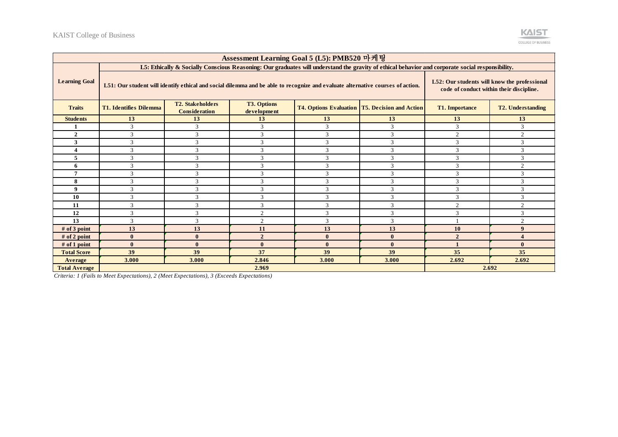

| Assessment Learning Goal 5 (L5): PMB520 마케팅 |                                                                                                                                                  |                                                                                                                                |                                                                                          |               |                                                         |                       |                          |  |
|---------------------------------------------|--------------------------------------------------------------------------------------------------------------------------------------------------|--------------------------------------------------------------------------------------------------------------------------------|------------------------------------------------------------------------------------------|---------------|---------------------------------------------------------|-----------------------|--------------------------|--|
|                                             | L5: Ethically & Socially Conscious Reasoning: Our graduates will understand the gravity of ethical behavior and corporate social responsibility. |                                                                                                                                |                                                                                          |               |                                                         |                       |                          |  |
| <b>Learning Goal</b>                        |                                                                                                                                                  | L51: Our student will identify ethical and social dilemma and be able to recognize and evaluate alternative courses of action. | L52: Our students will know the professional<br>code of conduct within their discipline. |               |                                                         |                       |                          |  |
| <b>Traits</b>                               | <b>T1. Identifies Dilemma</b>                                                                                                                    | <b>T2. Stakeholders</b><br><b>Consideration</b>                                                                                | <b>T3. Options</b><br>development                                                        |               | <b>T4. Options Evaluation   T5. Decision and Action</b> | <b>T1. Importance</b> | <b>T2. Understanding</b> |  |
| <b>Students</b>                             | 13                                                                                                                                               | 13                                                                                                                             | 13                                                                                       | 13            | 13                                                      | 13                    | 13                       |  |
|                                             | 3                                                                                                                                                | 3                                                                                                                              | 3                                                                                        | 3             | 3                                                       | 3                     | 3                        |  |
| $\mathbf{2}$                                | 3                                                                                                                                                | 3                                                                                                                              | 3                                                                                        | $\mathbf{3}$  | 3                                                       | $\overline{c}$        | 2                        |  |
| 3                                           | 3                                                                                                                                                | 3                                                                                                                              | 3                                                                                        | 3             | 3                                                       | 3                     | 3                        |  |
|                                             | 3                                                                                                                                                | 3                                                                                                                              | 3                                                                                        | 3             | 3                                                       | 3                     | 3                        |  |
|                                             | $\mathcal{R}$                                                                                                                                    | $\mathcal{R}$                                                                                                                  | $\mathcal{R}$                                                                            | $\mathbf{R}$  | 3                                                       | 3                     | 3                        |  |
| 6                                           | 3                                                                                                                                                | 3                                                                                                                              | 3                                                                                        | $\mathbf{3}$  | 3                                                       | 3                     | $\overline{c}$           |  |
|                                             | 3                                                                                                                                                | 3                                                                                                                              | 3                                                                                        | 3             | 3                                                       | 3                     | 3                        |  |
| 8                                           | 3                                                                                                                                                | 3                                                                                                                              | 3                                                                                        | $\mathcal{L}$ | 3                                                       | 3                     | 3                        |  |
| $\boldsymbol{9}$                            | 3                                                                                                                                                | 3                                                                                                                              | 3                                                                                        | $\mathbf{3}$  | $\mathcal{R}$                                           | 3                     | 3                        |  |
| 10                                          | 3                                                                                                                                                | 3                                                                                                                              | 3                                                                                        | 3             | 3                                                       | 3                     | 3                        |  |
| 11                                          | 3                                                                                                                                                | 3                                                                                                                              | 3                                                                                        | $\mathcal{L}$ | 3                                                       | $\overline{c}$        | 2                        |  |
| 12                                          | 3                                                                                                                                                | 3                                                                                                                              | $\overline{2}$                                                                           | 3             | 3                                                       | 3                     | 3                        |  |
| 13                                          | 3                                                                                                                                                | 3                                                                                                                              | $\overline{2}$                                                                           | 3             | 3                                                       |                       | $\overline{2}$           |  |
| $#$ of 3 point                              | 13                                                                                                                                               | 13                                                                                                                             | 11                                                                                       | 13            | 13                                                      | 10                    | $\boldsymbol{9}$         |  |
| $#$ of 2 point                              | $\mathbf{0}$                                                                                                                                     | $\mathbf{0}$                                                                                                                   | $\overline{2}$                                                                           | $\mathbf{0}$  | $\mathbf{0}$                                            | $\overline{2}$        | 4                        |  |
| $#$ of 1 point                              | $\mathbf{0}$                                                                                                                                     | $\mathbf{0}$                                                                                                                   | $\mathbf{0}$                                                                             | $\mathbf{0}$  | $\mathbf{0}$                                            | $\blacksquare$        | $\bf{0}$                 |  |
| <b>Total Score</b>                          | 39                                                                                                                                               | 39                                                                                                                             | 37                                                                                       | 39            | 39                                                      | 35                    | 35                       |  |
| Average                                     | 3.000<br>3.000<br>2.846<br>3.000<br>2.692<br>2.692<br>3.000                                                                                      |                                                                                                                                |                                                                                          |               |                                                         |                       |                          |  |
| <b>Total Average</b>                        | 2.692<br>2.969                                                                                                                                   |                                                                                                                                |                                                                                          |               |                                                         |                       |                          |  |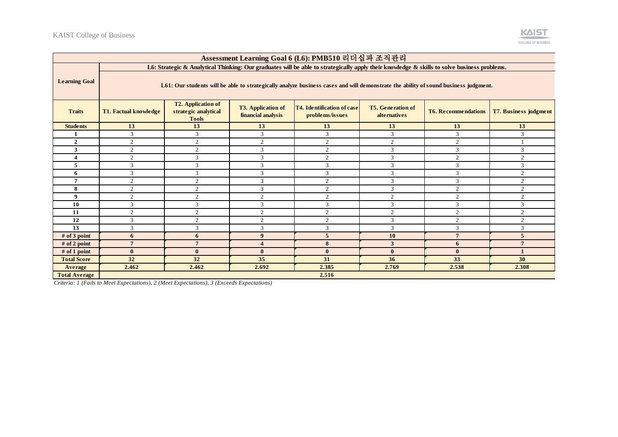

| Assessment Learning Goal 6 (L6): PMB510 리더십과 조직관리 |                                                                                                                                             |                                                                   |                                                 |                                                      |                                                 |                            |                              |  |
|---------------------------------------------------|---------------------------------------------------------------------------------------------------------------------------------------------|-------------------------------------------------------------------|-------------------------------------------------|------------------------------------------------------|-------------------------------------------------|----------------------------|------------------------------|--|
|                                                   | L6: Strategic & Analytical Thinking: Our graduates will be able to strategically apply their knowledge & skills to solve business problems. |                                                                   |                                                 |                                                      |                                                 |                            |                              |  |
| <b>Learning Goal</b>                              | L61: Our students will be able to strategically analyze business cases and will demonstrate the ability of sound business judgment.         |                                                                   |                                                 |                                                      |                                                 |                            |                              |  |
| <b>Traits</b>                                     | <b>T1. Factual knowledge</b>                                                                                                                | <b>T2. Application of</b><br>strategic analytical<br><b>Tools</b> | <b>T3. Application of</b><br>financial analysis | <b>T4. Identification of case</b><br>problems/issues | <b>T5. Generation of</b><br><b>alternatives</b> | <b>T6. Recommendations</b> | <b>T7. Business judgment</b> |  |
| <b>Students</b>                                   | 13                                                                                                                                          | 13                                                                | 13                                              | 13                                                   | 13                                              | 13                         | 13                           |  |
|                                                   | 3                                                                                                                                           | 3                                                                 | 3                                               | 3                                                    | 3                                               | 3                          | 3                            |  |
| $\overline{2}$                                    | 2                                                                                                                                           | 2                                                                 | 2                                               | $\overline{2}$                                       | 2                                               | 2                          |                              |  |
| 3                                                 | 2                                                                                                                                           | $\overline{2}$                                                    | 3                                               | $\overline{c}$                                       | 3                                               | 3                          | 3                            |  |
|                                                   | 2                                                                                                                                           | $\mathcal{R}$                                                     | 3                                               | $\overline{2}$                                       | 3                                               | 2                          | $\overline{2}$               |  |
| 5                                                 | 3                                                                                                                                           | 3                                                                 | 3                                               | $\overline{3}$                                       | 3                                               | 3                          | 3                            |  |
| 6                                                 | 3                                                                                                                                           | $\mathcal{R}$                                                     | 3                                               | 3                                                    | 3                                               | 3                          | 2                            |  |
| $\overline{7}$                                    | $\mathcal{L}$                                                                                                                               | 2                                                                 | 3                                               | $\overline{2}$                                       | 3                                               | 3                          | $\overline{2}$               |  |
| 8                                                 | 2                                                                                                                                           | $\overline{2}$                                                    | 3                                               | $\overline{2}$                                       | 3                                               | 2                          | 2                            |  |
| 9                                                 | $\overline{c}$                                                                                                                              | $\overline{2}$                                                    | $\overline{c}$                                  | $\overline{2}$                                       | $\overline{c}$                                  | 2                          | $\overline{2}$               |  |
| 10                                                | 3                                                                                                                                           | 3                                                                 | 3                                               | $\overline{3}$                                       | 3                                               | 3                          | 3                            |  |
| 11                                                | 2                                                                                                                                           | $\overline{c}$                                                    | $\overline{c}$                                  | $\overline{2}$                                       | $\mathbf{2}$                                    | $\overline{2}$             | $\overline{2}$               |  |
| 12                                                | 3                                                                                                                                           | 2                                                                 | $\overline{2}$                                  | $\overline{2}$                                       | 3                                               | 2                          | 2                            |  |
| 13                                                | 3                                                                                                                                           | 3                                                                 | 3                                               | $\overline{3}$                                       | 3                                               | 3                          | 3                            |  |
| $#$ of 3 point                                    | 6                                                                                                                                           | 6                                                                 | $\boldsymbol{9}$                                | 5                                                    | 10                                              | $\overline{7}$             | 5                            |  |
| $#$ of 2 point                                    | $\mathbf{7}$                                                                                                                                |                                                                   | $\overline{\mathbf{4}}$                         | 8                                                    | 3                                               | 6                          | $\overline{7}$               |  |
| $#$ of 1 point                                    | $\mathbf{0}$                                                                                                                                | $\mathbf{0}$                                                      | $\mathbf{0}$                                    | $\mathbf{0}$                                         | $\bf{0}$                                        | $\mathbf{0}$               | $\blacksquare$               |  |
| <b>Total Score</b>                                | 32                                                                                                                                          | 32                                                                | 35                                              | 31                                                   | 36                                              | 33                         | 30                           |  |
| Average                                           | 2.462<br>2.462<br>2.692<br>2.385<br>2.769<br>2.538<br>2.308                                                                                 |                                                                   |                                                 |                                                      |                                                 |                            |                              |  |
| <b>Total Average</b>                              | 2.516                                                                                                                                       |                                                                   |                                                 |                                                      |                                                 |                            |                              |  |